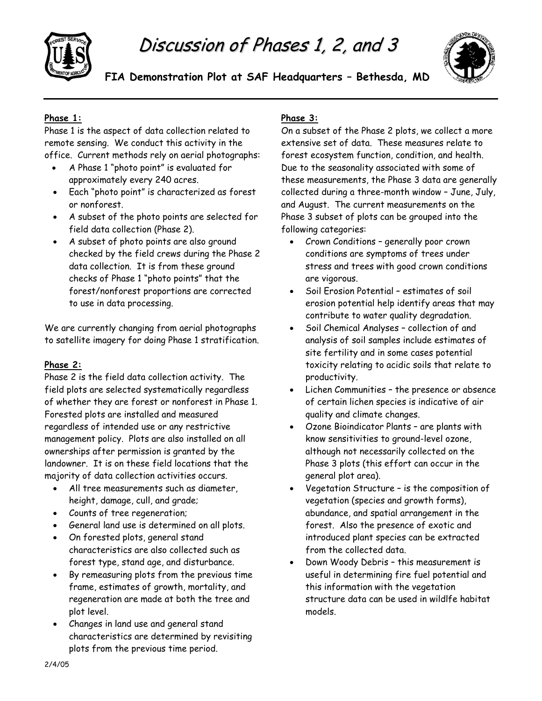

## Discussion of Phases 1, 2, and 3

**FIA Demonstration Plot at SAF Headquarters – Bethesda, MD**



## **Phase 1:**

Phase 1 is the aspect of data collection related to remote sensing. We conduct this activity in the office. Current methods rely on aerial photographs:

- A Phase 1 "photo point" is evaluated for approximately every 240 acres.
- Each "photo point" is characterized as forest or nonforest.
- A subset of the photo points are selected for field data collection (Phase 2).
- A subset of photo points are also ground checked by the field crews during the Phase 2 data collection. It is from these ground checks of Phase 1 "photo points" that the forest/nonforest proportions are corrected to use in data processing.

We are currently changing from aerial photographs to satellite imagery for doing Phase 1 stratification.

## **Phase 2:**

Phase 2 is the field data collection activity. The field plots are selected systematically regardless of whether they are forest or nonforest in Phase 1. Forested plots are installed and measured regardless of intended use or any restrictive management policy. Plots are also installed on all ownerships after permission is granted by the landowner. It is on these field locations that the majority of data collection activities occurs.

- All tree measurements such as diameter, height, damage, cull, and grade;
- Counts of tree regeneration;
- General land use is determined on all plots.
- On forested plots, general stand characteristics are also collected such as forest type, stand age, and disturbance.
- By remeasuring plots from the previous time frame, estimates of growth, mortality, and regeneration are made at both the tree and plot level.
- Changes in land use and general stand characteristics are determined by revisiting plots from the previous time period.

## **Phase 3:**

On a subset of the Phase 2 plots, we collect a more extensive set of data. These measures relate to forest ecosystem function, condition, and health. Due to the seasonality associated with some of these measurements, the Phase 3 data are generally collected during a three-month window – June, July, and August. The current measurements on the Phase 3 subset of plots can be grouped into the following categories:

- Crown Conditions generally poor crown conditions are symptoms of trees under stress and trees with good crown conditions are vigorous.
- Soil Erosion Potential estimates of soil erosion potential help identify areas that may contribute to water quality degradation.
- Soil Chemical Analyses collection of and analysis of soil samples include estimates of site fertility and in some cases potential toxicity relating to acidic soils that relate to productivity.
- Lichen Communities the presence or absence of certain lichen species is indicative of air quality and climate changes.
- Ozone Bioindicator Plants are plants with know sensitivities to ground-level ozone, although not necessarily collected on the Phase 3 plots (this effort can occur in the general plot area).
- Vegetation Structure is the composition of vegetation (species and growth forms), abundance, and spatial arrangement in the forest. Also the presence of exotic and introduced plant species can be extracted from the collected data.
- Down Woody Debris this measurement is useful in determining fire fuel potential and this information with the vegetation structure data can be used in wildlfe habitat models.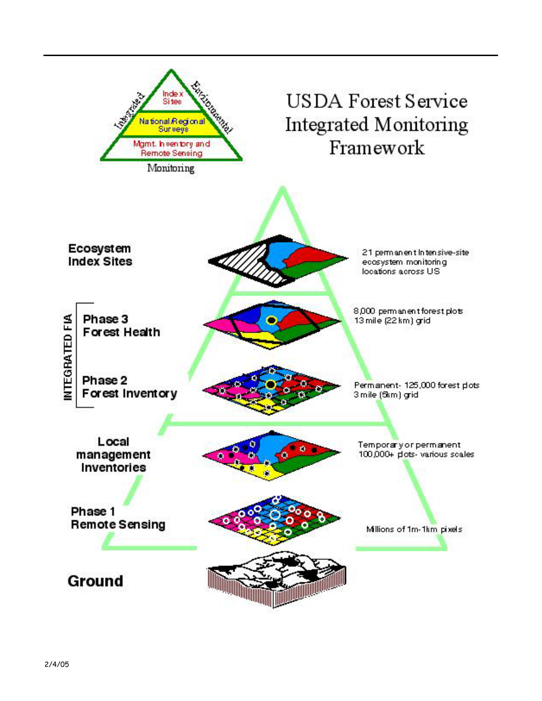